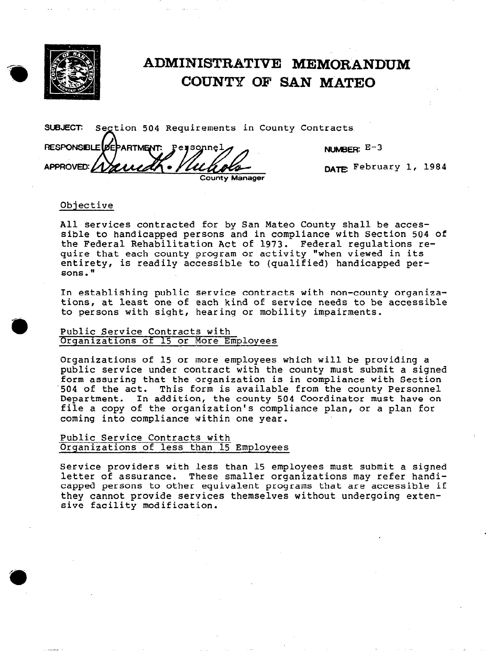

# ADMINISTRATIVE MEMORANDUM COUNTY OF SAN MATE0

SUBJECT: Segtion 504 Requirements in County Contract  $\mathcal{L}% _{M_{1},M_{2}}^{\alpha,\beta}(\varepsilon)$ 

RESPONSIBLE **DEPARTMENT** Personnel APPROVED: 117211 County Manage

NUMBER:  $E-3$ 

DATE: February 1, 1984

### Objective

All services contracted for by San Mateo County shall be accessible to handicapped persons and in compliance with Section 504 of the Federal Rehabilitation Act of 1973. Federal regulations require that each county program or activity "when viewed in its entirety, is readily accessible to (qualified) handicapped persons."

In establishing public service contracts with non-county organizations, at least one of each kind of service needs to be accessible to persons with sight, hearing or mobility impairments.

#### Public Service Contracts with Organizations of 15 or More Employees

Organizations of 15 or more employees which will be providing a public service under contract with the county must submit a signed form assuring that the organization is in compliance with Section '504 of the act. This form is available from the county Personnel Department. In addition, the county 504 Coordinator must have on file a copy of the organization's compliance plan, or a plan for coming into compliance within one year.

# Public Service Contracts with<br>Organizations of less than 15 Employees

Service providers with less than 15 employees must submit a signed letter of assurance. These smaller organizations may refer handicapped persons to other equivalent programs that are accessible if they cannot provide services themselves without undergoing extensive facility modification.